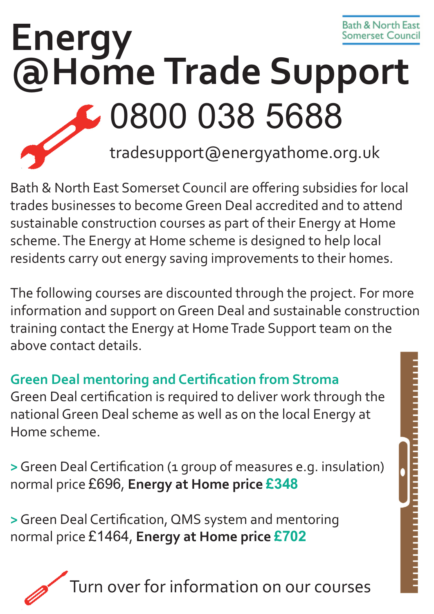# **Energy** Somerset Cound **@Home Trade Support** 0800 038 5688 tradesupport@energyathome.org.uk

Bath & North East Somerset Council are offering subsidies for local trades businesses to become Green Deal accredited and to attend sustainable construction courses as part of their Energy at Home scheme. The Energy at Home scheme is designed to help local residents carry out energy saving improvements to their homes.

The following courses are discounted through the project. For more information and support on Green Deal and sustainable construction training contact the Energy at Home Trade Support team on the above contact details.

### **Green Deal mentoring and Certification from Stroma**

Green Deal certification is required to deliver work through the national Green Deal scheme as well as on the local Energy at Home scheme.

**>**Green Deal Certification (1 group of measures e.g. insulation) normal price £696, **Energy at Home price £348**

**>**Green Deal Certification, QMS system and mentoring normal price £1464, **Energy at Home price £702**

iurn over for information on our courses